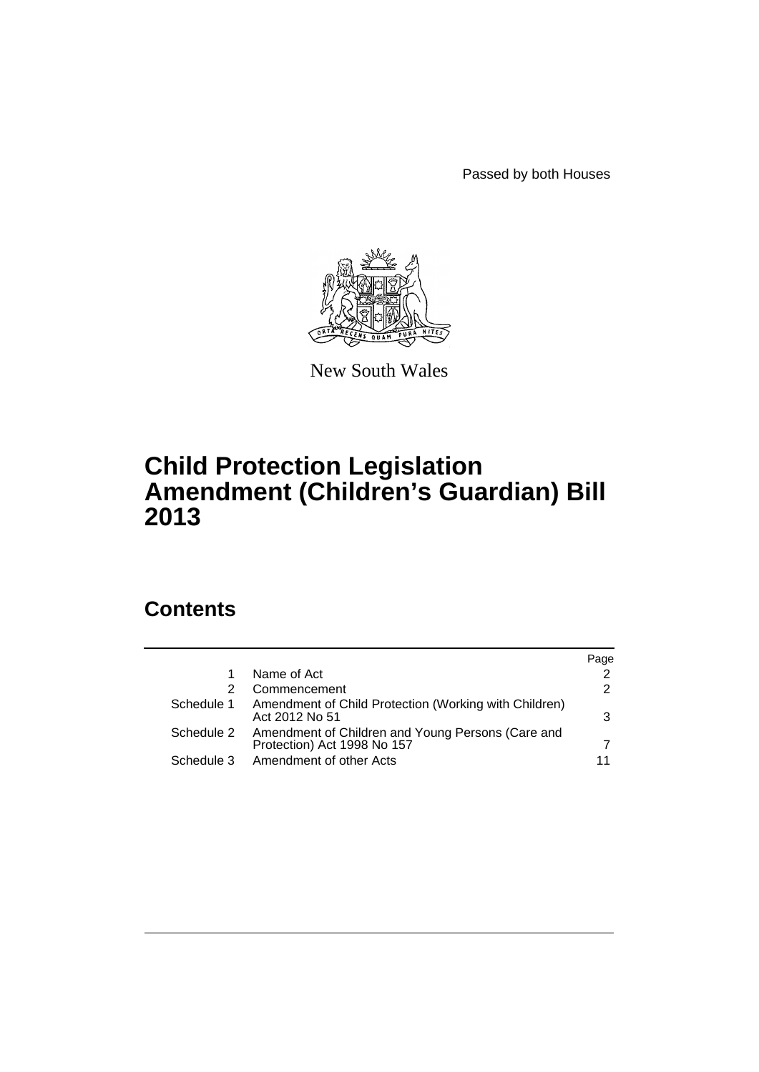Passed by both Houses



New South Wales

# **Child Protection Legislation Amendment (Children's Guardian) Bill 2013**

# **Contents**

|            |                                                                                  | Page |
|------------|----------------------------------------------------------------------------------|------|
|            | Name of Act                                                                      |      |
|            | Commencement                                                                     | 2    |
| Schedule 1 | Amendment of Child Protection (Working with Children)<br>Act 2012 No 51          | 3    |
| Schedule 2 | Amendment of Children and Young Persons (Care and<br>Protection) Act 1998 No 157 |      |
| Schedule 3 | Amendment of other Acts                                                          |      |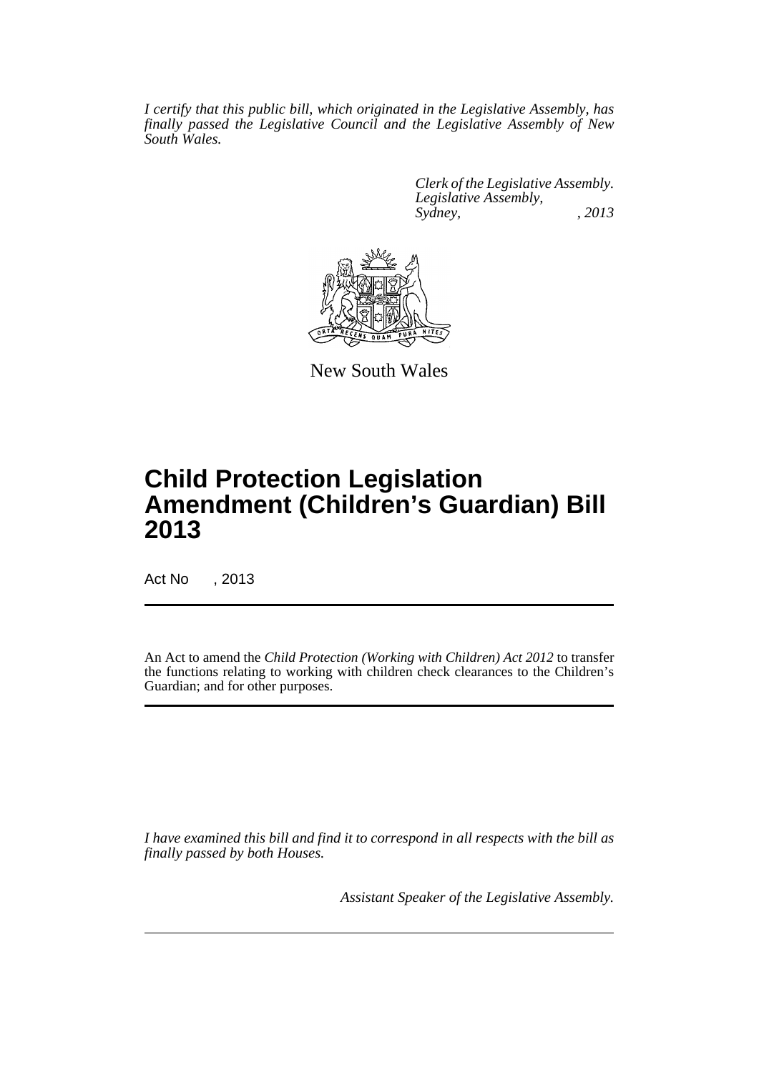*I certify that this public bill, which originated in the Legislative Assembly, has finally passed the Legislative Council and the Legislative Assembly of New South Wales.*

> *Clerk of the Legislative Assembly. Legislative Assembly, Sydney, , 2013*



New South Wales

# **Child Protection Legislation Amendment (Children's Guardian) Bill 2013**

Act No , 2013

An Act to amend the *Child Protection (Working with Children) Act 2012* to transfer the functions relating to working with children check clearances to the Children's Guardian; and for other purposes.

*I have examined this bill and find it to correspond in all respects with the bill as finally passed by both Houses.*

*Assistant Speaker of the Legislative Assembly.*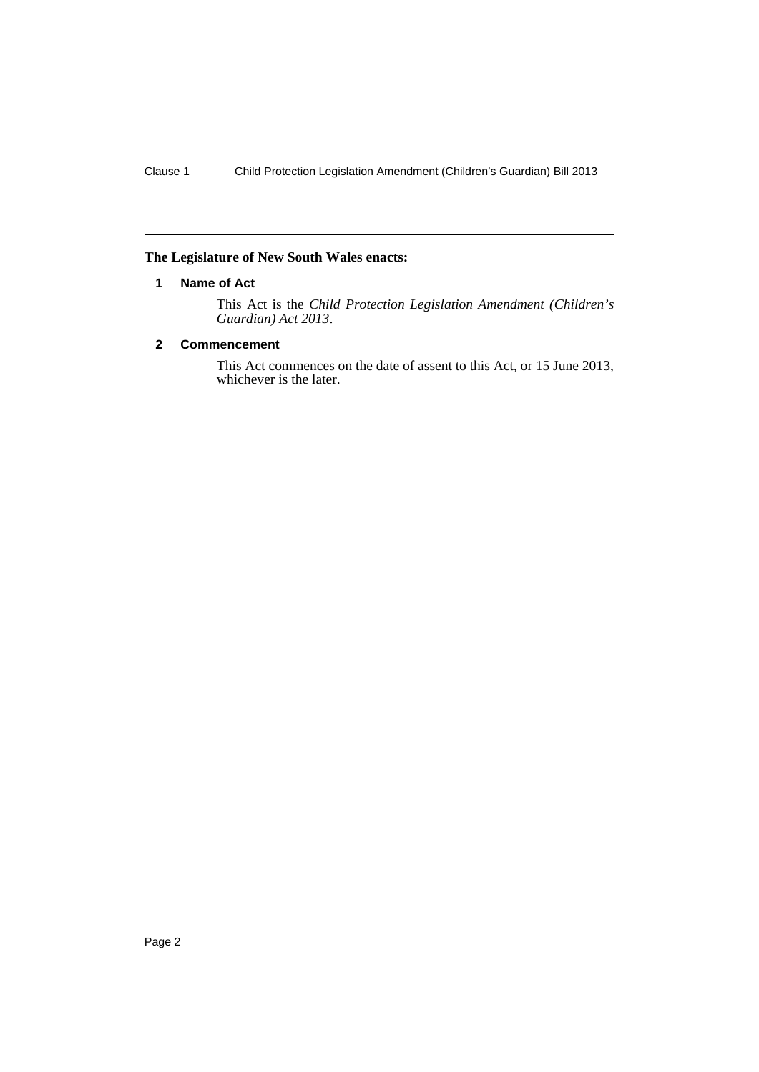### <span id="page-3-0"></span>**The Legislature of New South Wales enacts:**

### **1 Name of Act**

This Act is the *Child Protection Legislation Amendment (Children's Guardian) Act 2013*.

# <span id="page-3-1"></span>**2 Commencement**

This Act commences on the date of assent to this Act, or 15 June 2013, whichever is the later.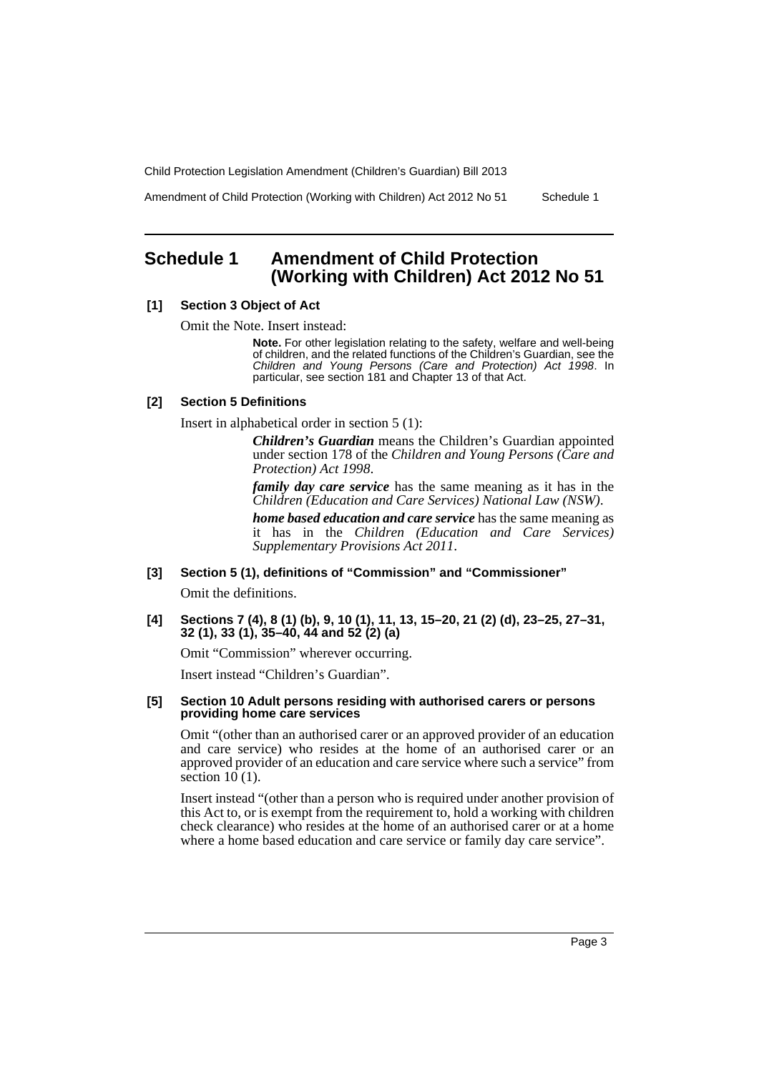Amendment of Child Protection (Working with Children) Act 2012 No 51 Schedule 1

# <span id="page-4-0"></span>**Schedule 1 Amendment of Child Protection (Working with Children) Act 2012 No 51**

### **[1] Section 3 Object of Act**

Omit the Note. Insert instead:

**Note.** For other legislation relating to the safety, welfare and well-being of children, and the related functions of the Children's Guardian, see the *Children and Young Persons (Care and Protection) Act 1998*. In particular, see section 181 and Chapter 13 of that Act.

### **[2] Section 5 Definitions**

Insert in alphabetical order in section 5 (1):

*Children's Guardian* means the Children's Guardian appointed under section 178 of the *Children and Young Persons (Care and Protection) Act 1998*.

*family day care service* has the same meaning as it has in the *Children (Education and Care Services) National Law (NSW)*.

*home based education and care service* has the same meaning as it has in the *Children (Education and Care Services) Supplementary Provisions Act 2011*.

**[3] Section 5 (1), definitions of "Commission" and "Commissioner"**

Omit the definitions.

**[4] Sections 7 (4), 8 (1) (b), 9, 10 (1), 11, 13, 15–20, 21 (2) (d), 23–25, 27–31, 32 (1), 33 (1), 35–40, 44 and 52 (2) (a)**

Omit "Commission" wherever occurring.

Insert instead "Children's Guardian".

#### **[5] Section 10 Adult persons residing with authorised carers or persons providing home care services**

Omit "(other than an authorised carer or an approved provider of an education and care service) who resides at the home of an authorised carer or an approved provider of an education and care service where such a service" from section  $10(1)$ .

Insert instead "(other than a person who is required under another provision of this Act to, or is exempt from the requirement to, hold a working with children check clearance) who resides at the home of an authorised carer or at a home where a home based education and care service or family day care service".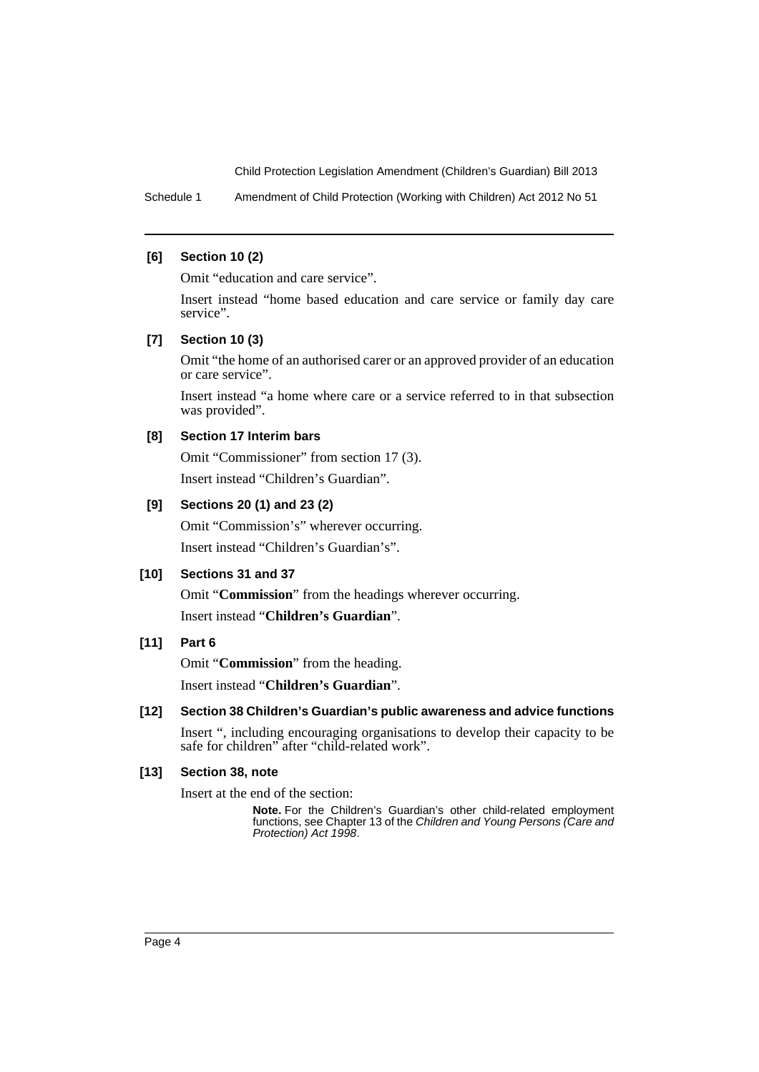Schedule 1 Amendment of Child Protection (Working with Children) Act 2012 No 51

### **[6] Section 10 (2)**

Omit "education and care service".

Insert instead "home based education and care service or family day care service".

### **[7] Section 10 (3)**

Omit "the home of an authorised carer or an approved provider of an education or care service".

Insert instead "a home where care or a service referred to in that subsection was provided".

### **[8] Section 17 Interim bars**

Omit "Commissioner" from section 17 (3).

Insert instead "Children's Guardian".

### **[9] Sections 20 (1) and 23 (2)**

Omit "Commission's" wherever occurring. Insert instead "Children's Guardian's".

### **[10] Sections 31 and 37**

Omit "**Commission**" from the headings wherever occurring. Insert instead "**Children's Guardian**".

### **[11] Part 6**

Omit "**Commission**" from the heading.

Insert instead "**Children's Guardian**".

### **[12] Section 38 Children's Guardian's public awareness and advice functions**

Insert ", including encouraging organisations to develop their capacity to be safe for children" after "child-related work".

### **[13] Section 38, note**

Insert at the end of the section:

**Note.** For the Children's Guardian's other child-related employment functions, see Chapter 13 of the *Children and Young Persons (Care and Protection) Act 1998*.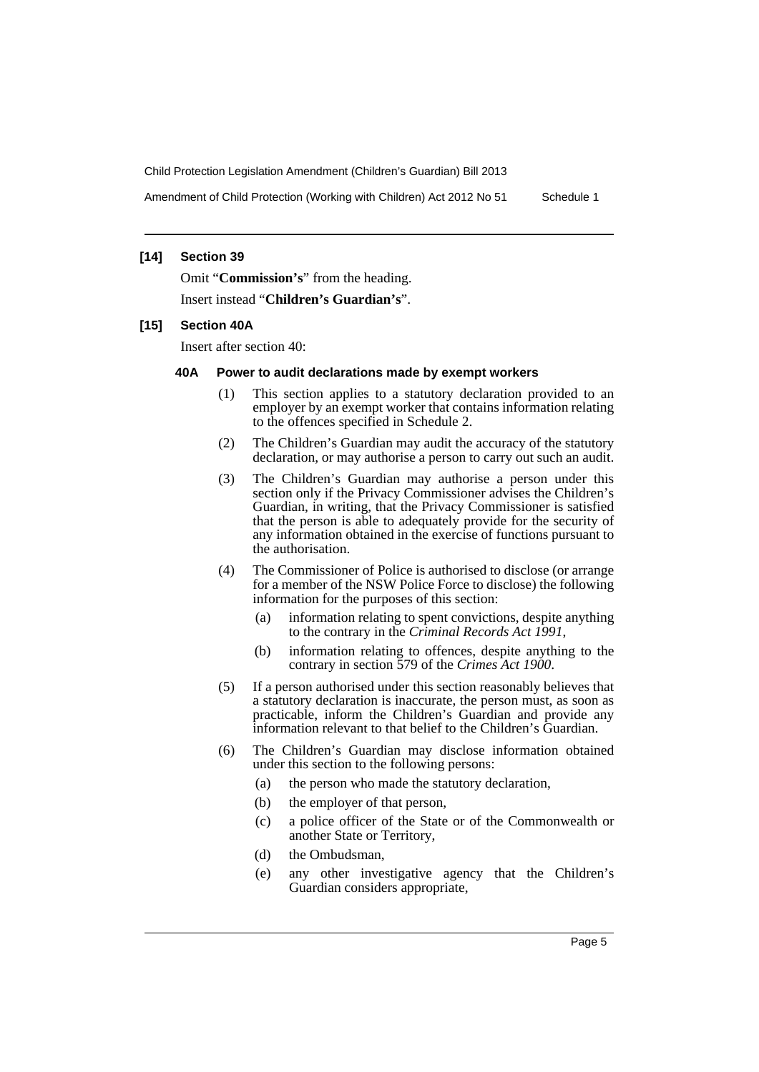Amendment of Child Protection (Working with Children) Act 2012 No 51 Schedule 1

### **[14] Section 39**

Omit "**Commission's**" from the heading.

Insert instead "**Children's Guardian's**".

### **[15] Section 40A**

Insert after section 40:

### **40A Power to audit declarations made by exempt workers**

- (1) This section applies to a statutory declaration provided to an employer by an exempt worker that contains information relating to the offences specified in Schedule 2.
- (2) The Children's Guardian may audit the accuracy of the statutory declaration, or may authorise a person to carry out such an audit.
- (3) The Children's Guardian may authorise a person under this section only if the Privacy Commissioner advises the Children's Guardian, in writing, that the Privacy Commissioner is satisfied that the person is able to adequately provide for the security of any information obtained in the exercise of functions pursuant to the authorisation.
- (4) The Commissioner of Police is authorised to disclose (or arrange for a member of the NSW Police Force to disclose) the following information for the purposes of this section:
	- (a) information relating to spent convictions, despite anything to the contrary in the *Criminal Records Act 1991*,
	- (b) information relating to offences, despite anything to the contrary in section 579 of the *Crimes Act 1900*.
- (5) If a person authorised under this section reasonably believes that a statutory declaration is inaccurate, the person must, as soon as practicable, inform the Children's Guardian and provide any information relevant to that belief to the Children's Guardian.
- (6) The Children's Guardian may disclose information obtained under this section to the following persons:
	- (a) the person who made the statutory declaration,
	- (b) the employer of that person,
	- (c) a police officer of the State or of the Commonwealth or another State or Territory,
	- (d) the Ombudsman,
	- (e) any other investigative agency that the Children's Guardian considers appropriate,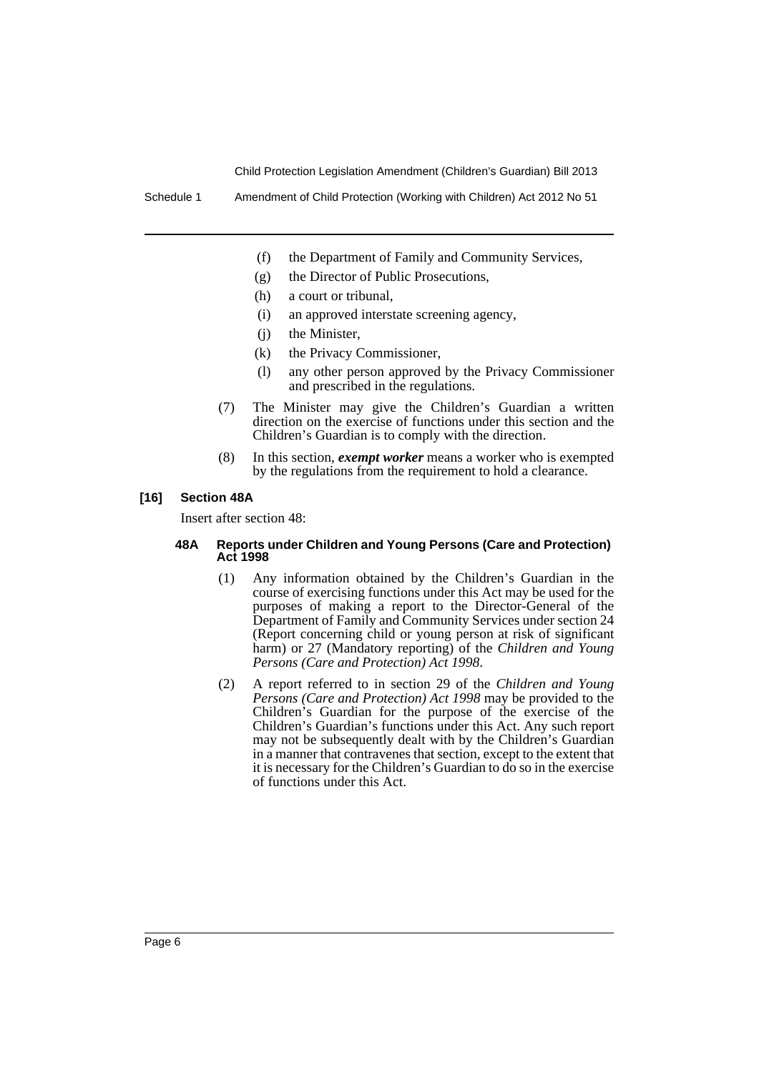Schedule 1 Amendment of Child Protection (Working with Children) Act 2012 No 51

- (f) the Department of Family and Community Services,
- (g) the Director of Public Prosecutions,
- (h) a court or tribunal,
- (i) an approved interstate screening agency,
- (j) the Minister,
- (k) the Privacy Commissioner,
- (l) any other person approved by the Privacy Commissioner and prescribed in the regulations.
- (7) The Minister may give the Children's Guardian a written direction on the exercise of functions under this section and the Children's Guardian is to comply with the direction.
- (8) In this section, *exempt worker* means a worker who is exempted by the regulations from the requirement to hold a clearance.

### **[16] Section 48A**

Insert after section 48:

#### **48A Reports under Children and Young Persons (Care and Protection) Act 1998**

- (1) Any information obtained by the Children's Guardian in the course of exercising functions under this Act may be used for the purposes of making a report to the Director-General of the Department of Family and Community Services under section 24 (Report concerning child or young person at risk of significant harm) or 27 (Mandatory reporting) of the *Children and Young Persons (Care and Protection) Act 1998*.
- (2) A report referred to in section 29 of the *Children and Young Persons (Care and Protection) Act 1998* may be provided to the Children's Guardian for the purpose of the exercise of the Children's Guardian's functions under this Act. Any such report may not be subsequently dealt with by the Children's Guardian in a manner that contravenes that section, except to the extent that it is necessary for the Children's Guardian to do so in the exercise of functions under this Act.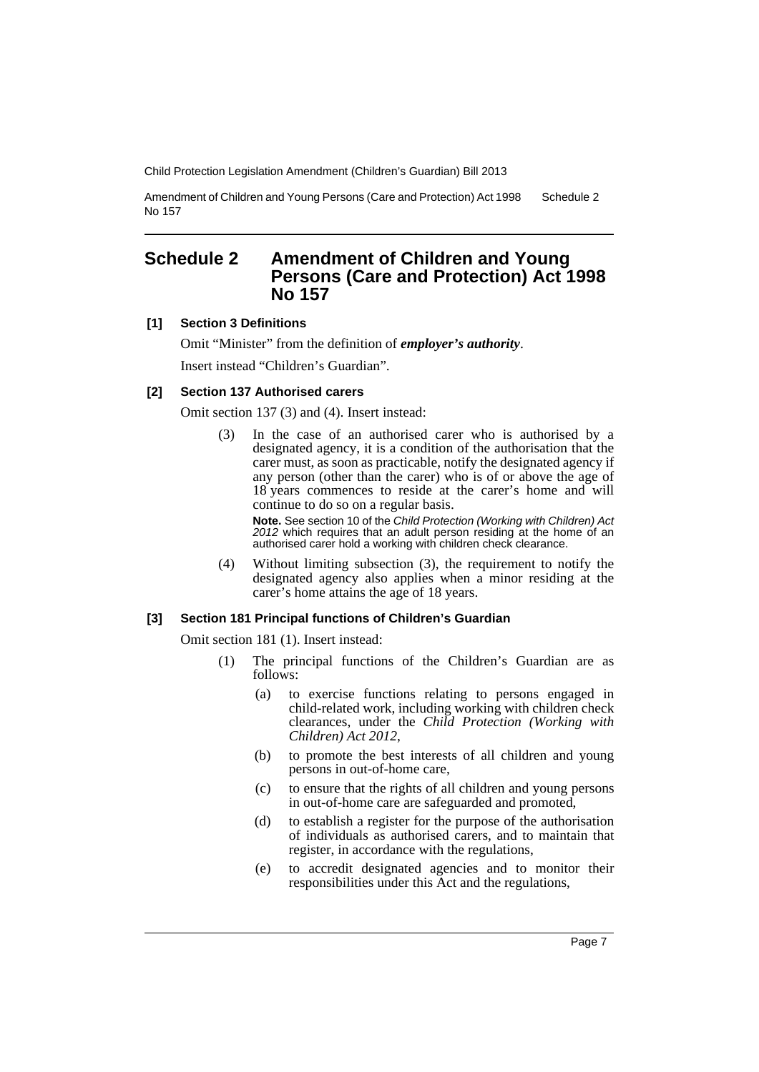Amendment of Children and Young Persons (Care and Protection) Act 1998 No 157 Schedule 2

# <span id="page-8-0"></span>**Schedule 2 Amendment of Children and Young Persons (Care and Protection) Act 1998 No 157**

## **[1] Section 3 Definitions**

Omit "Minister" from the definition of *employer's authority*. Insert instead "Children's Guardian".

### **[2] Section 137 Authorised carers**

Omit section 137 (3) and (4). Insert instead:

(3) In the case of an authorised carer who is authorised by a designated agency, it is a condition of the authorisation that the carer must, as soon as practicable, notify the designated agency if any person (other than the carer) who is of or above the age of 18 years commences to reside at the carer's home and will continue to do so on a regular basis.

**Note.** See section 10 of the *Child Protection (Working with Children) Act 2012* which requires that an adult person residing at the home of an authorised carer hold a working with children check clearance.

(4) Without limiting subsection (3), the requirement to notify the designated agency also applies when a minor residing at the carer's home attains the age of 18 years.

### **[3] Section 181 Principal functions of Children's Guardian**

Omit section 181 (1). Insert instead:

- (1) The principal functions of the Children's Guardian are as follows:
	- (a) to exercise functions relating to persons engaged in child-related work, including working with children check clearances, under the *Child Protection (Working with Children) Act 2012*,
	- (b) to promote the best interests of all children and young persons in out-of-home care,
	- (c) to ensure that the rights of all children and young persons in out-of-home care are safeguarded and promoted,
	- (d) to establish a register for the purpose of the authorisation of individuals as authorised carers, and to maintain that register, in accordance with the regulations,
	- (e) to accredit designated agencies and to monitor their responsibilities under this Act and the regulations,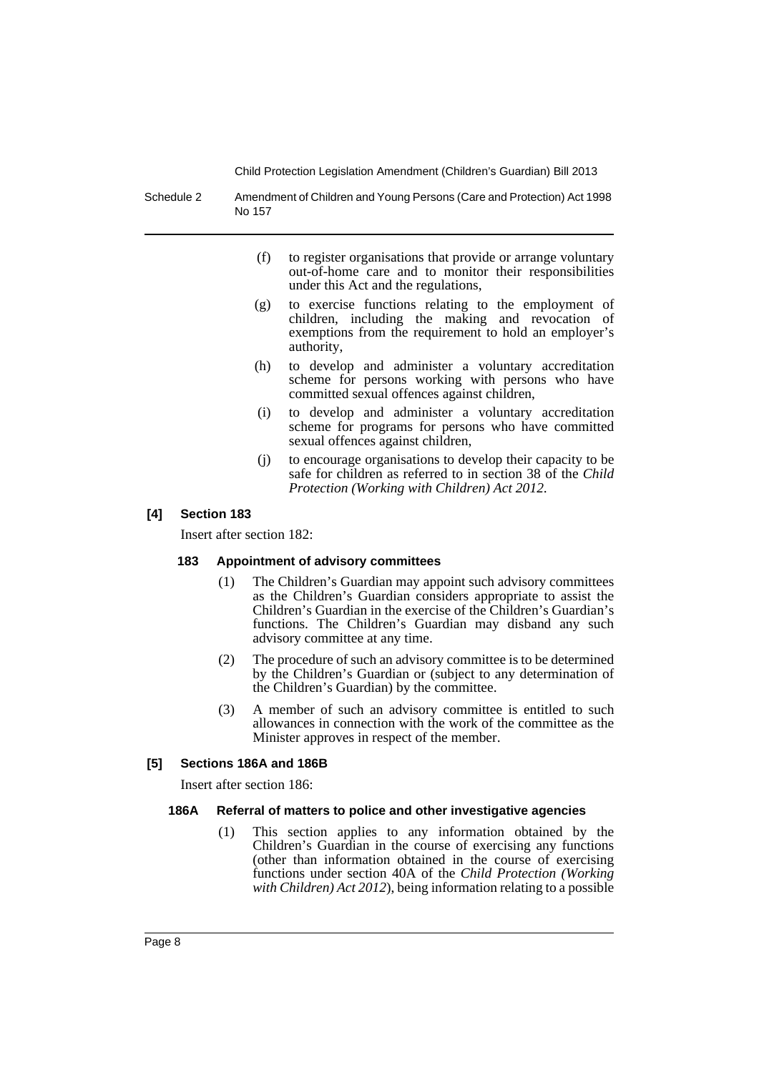Schedule 2 Amendment of Children and Young Persons (Care and Protection) Act 1998 No 157

- (f) to register organisations that provide or arrange voluntary out-of-home care and to monitor their responsibilities under this Act and the regulations,
- (g) to exercise functions relating to the employment of children, including the making and revocation of exemptions from the requirement to hold an employer's authority,
- (h) to develop and administer a voluntary accreditation scheme for persons working with persons who have committed sexual offences against children,
- (i) to develop and administer a voluntary accreditation scheme for programs for persons who have committed sexual offences against children,
- (j) to encourage organisations to develop their capacity to be safe for children as referred to in section 38 of the *Child Protection (Working with Children) Act 2012*.

### **[4] Section 183**

Insert after section 182:

### **183 Appointment of advisory committees**

- (1) The Children's Guardian may appoint such advisory committees as the Children's Guardian considers appropriate to assist the Children's Guardian in the exercise of the Children's Guardian's functions. The Children's Guardian may disband any such advisory committee at any time.
- (2) The procedure of such an advisory committee is to be determined by the Children's Guardian or (subject to any determination of the Children's Guardian) by the committee.
- (3) A member of such an advisory committee is entitled to such allowances in connection with the work of the committee as the Minister approves in respect of the member.

### **[5] Sections 186A and 186B**

Insert after section 186:

### **186A Referral of matters to police and other investigative agencies**

(1) This section applies to any information obtained by the Children's Guardian in the course of exercising any functions (other than information obtained in the course of exercising functions under section 40A of the *Child Protection (Working with Children) Act 2012*), being information relating to a possible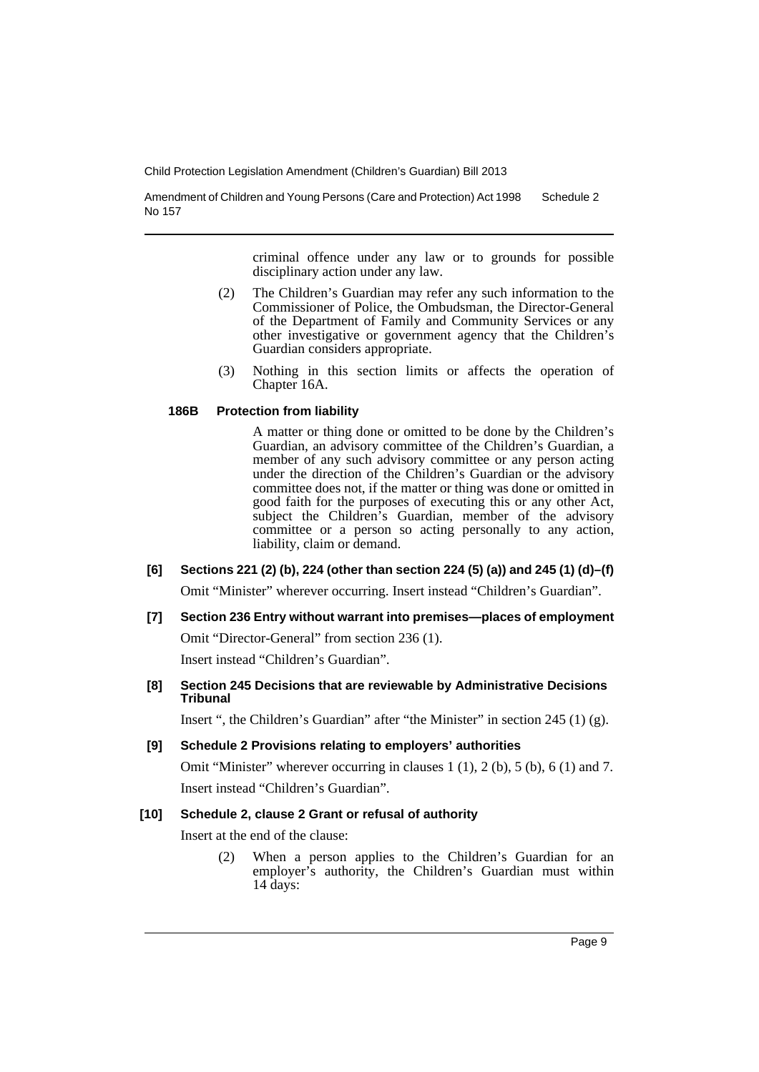Amendment of Children and Young Persons (Care and Protection) Act 1998 No 157 Schedule 2

> criminal offence under any law or to grounds for possible disciplinary action under any law.

- (2) The Children's Guardian may refer any such information to the Commissioner of Police, the Ombudsman, the Director-General of the Department of Family and Community Services or any other investigative or government agency that the Children's Guardian considers appropriate.
- (3) Nothing in this section limits or affects the operation of Chapter 16A.

### **186B Protection from liability**

A matter or thing done or omitted to be done by the Children's Guardian, an advisory committee of the Children's Guardian, a member of any such advisory committee or any person acting under the direction of the Children's Guardian or the advisory committee does not, if the matter or thing was done or omitted in good faith for the purposes of executing this or any other Act, subject the Children's Guardian, member of the advisory committee or a person so acting personally to any action, liability, claim or demand.

# **[6] Sections 221 (2) (b), 224 (other than section 224 (5) (a)) and 245 (1) (d)–(f)**

Omit "Minister" wherever occurring. Insert instead "Children's Guardian".

**[7] Section 236 Entry without warrant into premises—places of employment** Omit "Director-General" from section 236 (1).

Insert instead "Children's Guardian".

**[8] Section 245 Decisions that are reviewable by Administrative Decisions Tribunal**

Insert ", the Children's Guardian" after "the Minister" in section 245 (1) (g).

### **[9] Schedule 2 Provisions relating to employers' authorities**

Omit "Minister" wherever occurring in clauses  $1(1)$ ,  $2(b)$ ,  $5(b)$ ,  $6(1)$  and  $7$ . Insert instead "Children's Guardian".

### **[10] Schedule 2, clause 2 Grant or refusal of authority**

Insert at the end of the clause:

(2) When a person applies to the Children's Guardian for an employer's authority, the Children's Guardian must within  $14$  days: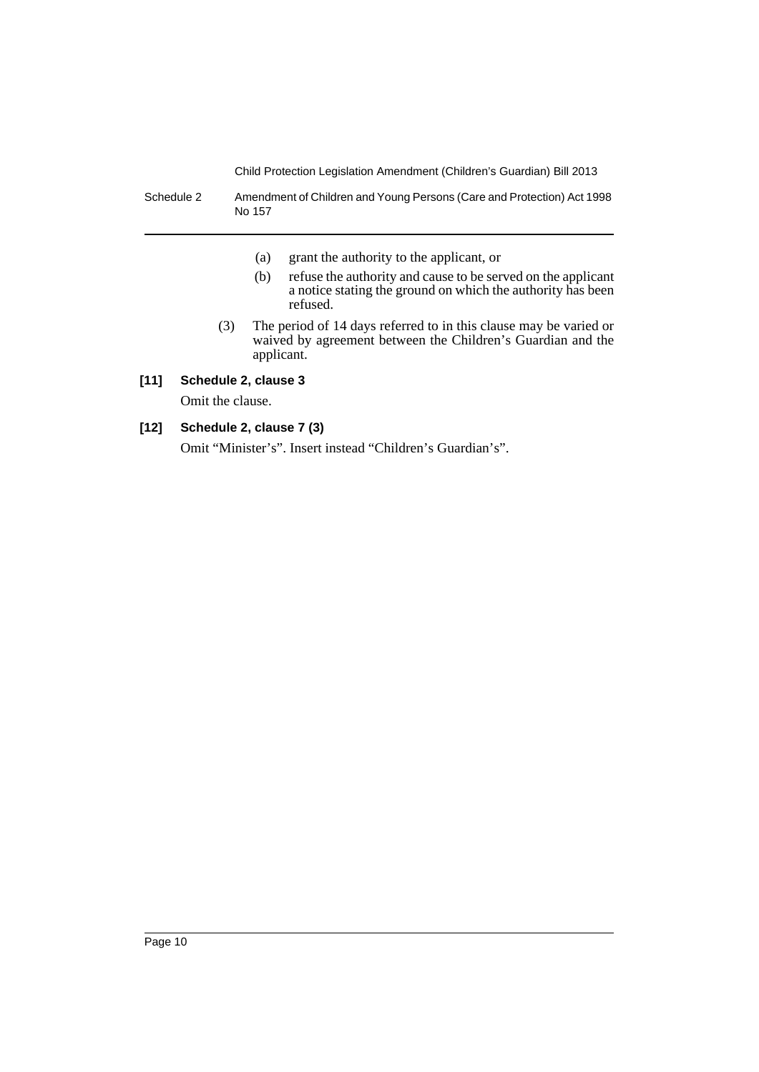Schedule 2 Amendment of Children and Young Persons (Care and Protection) Act 1998 No 157

- (a) grant the authority to the applicant, or
- (b) refuse the authority and cause to be served on the applicant a notice stating the ground on which the authority has been refused.
- (3) The period of 14 days referred to in this clause may be varied or waived by agreement between the Children's Guardian and the applicant.

# **[11] Schedule 2, clause 3**

Omit the clause.

# **[12] Schedule 2, clause 7 (3)**

Omit "Minister's". Insert instead "Children's Guardian's".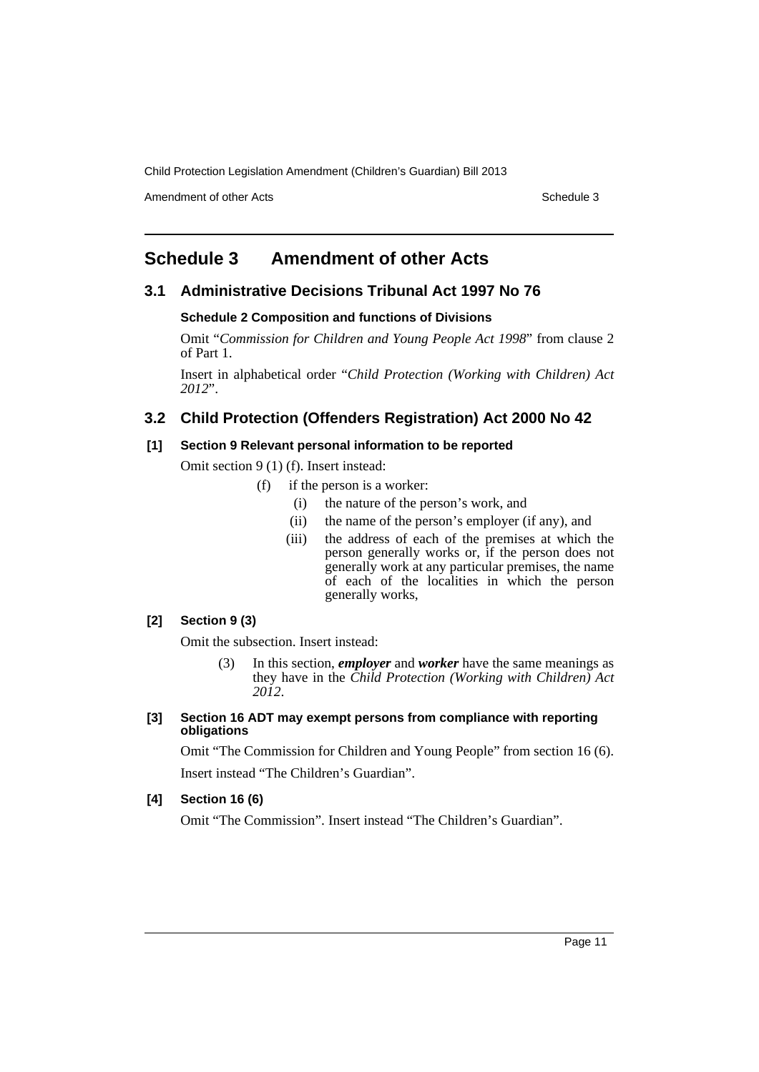Amendment of other Acts **Schedule 3** and the 3 set of the 3 set of the 3 set of the 3 set of the 3 set of the 3 set of the 3 set of the 3 set of the 3 set of the 3 set of the 3 set of the 3 set of the 3 set of the 3 set of

# <span id="page-12-0"></span>**Schedule 3 Amendment of other Acts**

# **3.1 Administrative Decisions Tribunal Act 1997 No 76**

### **Schedule 2 Composition and functions of Divisions**

Omit "*Commission for Children and Young People Act 1998*" from clause 2 of Part 1.

Insert in alphabetical order "*Child Protection (Working with Children) Act 2012*".

# **3.2 Child Protection (Offenders Registration) Act 2000 No 42**

### **[1] Section 9 Relevant personal information to be reported**

Omit section 9 (1) (f). Insert instead:

- (f) if the person is a worker:
	- (i) the nature of the person's work, and
	- (ii) the name of the person's employer (if any), and
	- (iii) the address of each of the premises at which the person generally works or, if the person does not generally work at any particular premises, the name of each of the localities in which the person generally works,

### **[2] Section 9 (3)**

Omit the subsection. Insert instead:

(3) In this section, *employer* and *worker* have the same meanings as they have in the *Child Protection (Working with Children) Act 2012*.

### **[3] Section 16 ADT may exempt persons from compliance with reporting obligations**

Omit "The Commission for Children and Young People" from section 16 (6).

Insert instead "The Children's Guardian".

### **[4] Section 16 (6)**

Omit "The Commission". Insert instead "The Children's Guardian".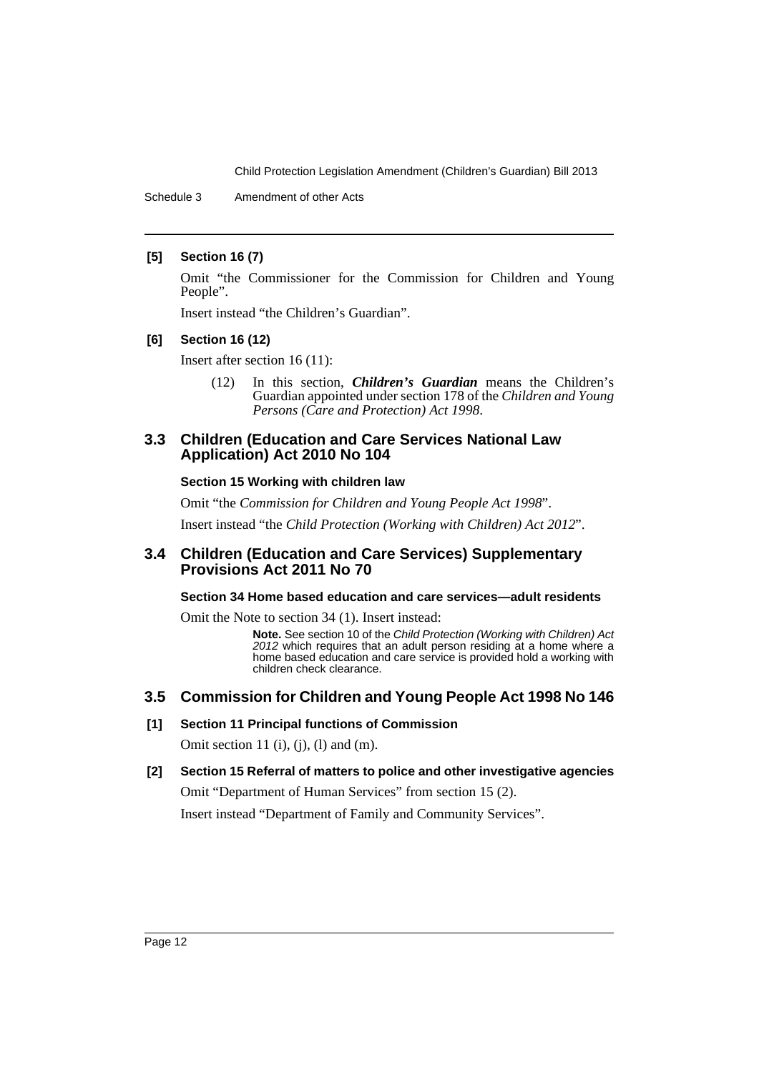Schedule 3 Amendment of other Acts

### **[5] Section 16 (7)**

Omit "the Commissioner for the Commission for Children and Young People".

Insert instead "the Children's Guardian".

### **[6] Section 16 (12)**

Insert after section 16 (11):

(12) In this section, *Children's Guardian* means the Children's Guardian appointed under section 178 of the *Children and Young Persons (Care and Protection) Act 1998*.

# **3.3 Children (Education and Care Services National Law Application) Act 2010 No 104**

### **Section 15 Working with children law**

Omit "the *Commission for Children and Young People Act 1998*". Insert instead "the *Child Protection (Working with Children) Act 2012*".

# **3.4 Children (Education and Care Services) Supplementary Provisions Act 2011 No 70**

### **Section 34 Home based education and care services—adult residents**

Omit the Note to section 34 (1). Insert instead:

**Note.** See section 10 of the *Child Protection (Working with Children) Act 2012* which requires that an adult person residing at a home where a home based education and care service is provided hold a working with children check clearance.

# **3.5 Commission for Children and Young People Act 1998 No 146**

### **[1] Section 11 Principal functions of Commission**

Omit section 11 (i), (j), (l) and (m).

### **[2] Section 15 Referral of matters to police and other investigative agencies**

Omit "Department of Human Services" from section 15 (2). Insert instead "Department of Family and Community Services".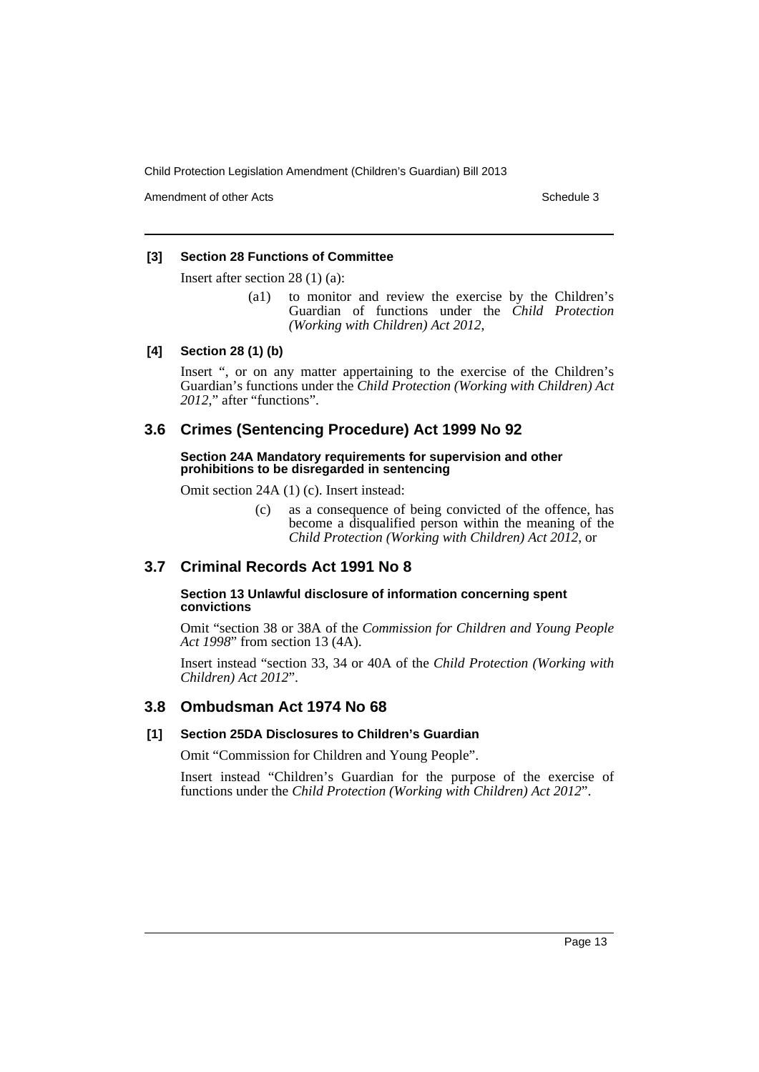Amendment of other Acts **Schedule 3** and the 3 schedule 3

### **[3] Section 28 Functions of Committee**

Insert after section 28 (1) (a):

(a1) to monitor and review the exercise by the Children's Guardian of functions under the *Child Protection (Working with Children) Act 2012*,

### **[4] Section 28 (1) (b)**

Insert ", or on any matter appertaining to the exercise of the Children's Guardian's functions under the *Child Protection (Working with Children) Act 2012*," after "functions".

# **3.6 Crimes (Sentencing Procedure) Act 1999 No 92**

**Section 24A Mandatory requirements for supervision and other prohibitions to be disregarded in sentencing**

Omit section 24A (1) (c). Insert instead:

(c) as a consequence of being convicted of the offence, has become a disqualified person within the meaning of the *Child Protection (Working with Children) Act 2012*, or

# **3.7 Criminal Records Act 1991 No 8**

### **Section 13 Unlawful disclosure of information concerning spent convictions**

Omit "section 38 or 38A of the *Commission for Children and Young People Act 1998*" from section 13 (4A).

Insert instead "section 33, 34 or 40A of the *Child Protection (Working with Children) Act 2012*".

# **3.8 Ombudsman Act 1974 No 68**

### **[1] Section 25DA Disclosures to Children's Guardian**

Omit "Commission for Children and Young People".

Insert instead "Children's Guardian for the purpose of the exercise of functions under the *Child Protection (Working with Children) Act 2012*".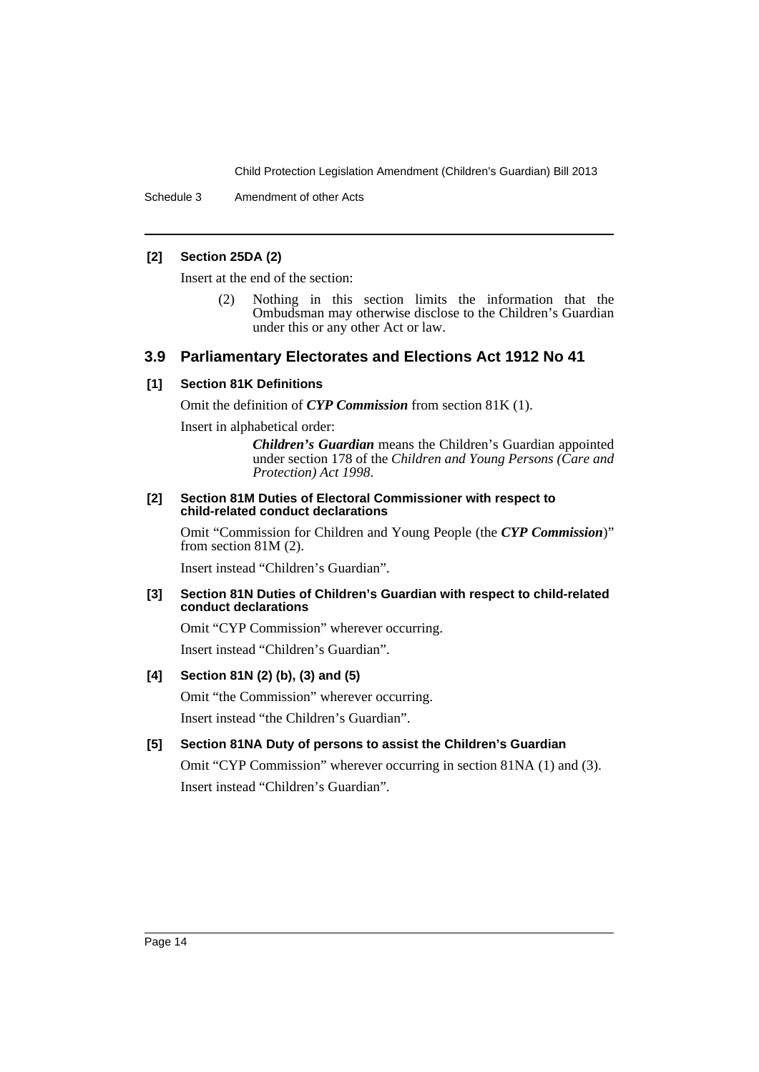Schedule 3 Amendment of other Acts

### **[2] Section 25DA (2)**

Insert at the end of the section:

(2) Nothing in this section limits the information that the Ombudsman may otherwise disclose to the Children's Guardian under this or any other Act or law.

# **3.9 Parliamentary Electorates and Elections Act 1912 No 41**

### **[1] Section 81K Definitions**

Omit the definition of *CYP Commission* from section 81K (1).

Insert in alphabetical order:

*Children's Guardian* means the Children's Guardian appointed under section 178 of the *Children and Young Persons (Care and Protection) Act 1998*.

#### **[2] Section 81M Duties of Electoral Commissioner with respect to child-related conduct declarations**

Omit "Commission for Children and Young People (the *CYP Commission*)" from section 81M (2).

Insert instead "Children's Guardian".

### **[3] Section 81N Duties of Children's Guardian with respect to child-related conduct declarations**

Omit "CYP Commission" wherever occurring. Insert instead "Children's Guardian".

### **[4] Section 81N (2) (b), (3) and (5)**

Omit "the Commission" wherever occurring. Insert instead "the Children's Guardian".

### **[5] Section 81NA Duty of persons to assist the Children's Guardian**

Omit "CYP Commission" wherever occurring in section 81NA (1) and (3). Insert instead "Children's Guardian".